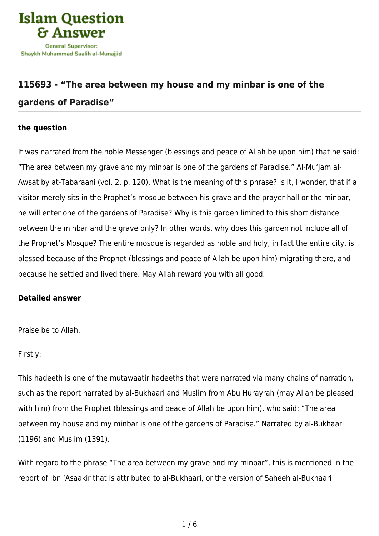

## **[115693 - "The area between my house and my minbar is one of the](https://islamqa.com/en/answers/115693/the-area-between-my-house-and-my-minbar-is-one-of-the-gardens-of-paradise) [gardens of Paradise"](https://islamqa.com/en/answers/115693/the-area-between-my-house-and-my-minbar-is-one-of-the-gardens-of-paradise)**

## **the question**

It was narrated from the noble Messenger (blessings and peace of Allah be upon him) that he said: "The area between my grave and my minbar is one of the gardens of Paradise." Al-Mu'jam al-Awsat by at-Tabaraani (vol. 2, p. 120). What is the meaning of this phrase? Is it, I wonder, that if a visitor merely sits in the Prophet's mosque between his grave and the prayer hall or the minbar, he will enter one of the gardens of Paradise? Why is this garden limited to this short distance between the minbar and the grave only? In other words, why does this garden not include all of the Prophet's Mosque? The entire mosque is regarded as noble and holy, in fact the entire city, is blessed because of the Prophet (blessings and peace of Allah be upon him) migrating there, and because he settled and lived there. May Allah reward you with all good.

## **Detailed answer**

Praise be to Allah.

Firstly:

This hadeeth is one of the mutawaatir hadeeths that were narrated via many chains of narration, such as the report narrated by al-Bukhaari and Muslim from Abu Hurayrah (may Allah be pleased with him) from the Prophet (blessings and peace of Allah be upon him), who said: "The area between my house and my minbar is one of the gardens of Paradise." Narrated by al-Bukhaari (1196) and Muslim (1391).

With regard to the phrase "The area between my grave and my minbar", this is mentioned in the report of Ibn 'Asaakir that is attributed to al-Bukhaari, or the version of Saheeh al-Bukhaari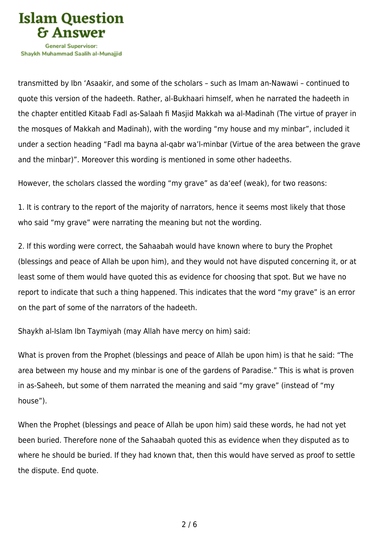

transmitted by Ibn 'Asaakir, and some of the scholars – such as Imam an-Nawawi – continued to quote this version of the hadeeth. Rather, al-Bukhaari himself, when he narrated the hadeeth in the chapter entitled Kitaab Fadl as-Salaah fi Masjid Makkah wa al-Madinah (The virtue of prayer in the mosques of Makkah and Madinah), with the wording "my house and my minbar", included it under a section heading "Fadl ma bayna al-qabr wa'l-minbar (Virtue of the area between the grave and the minbar)". Moreover this wording is mentioned in some other hadeeths.

However, the scholars classed the wording "my grave" as da'eef (weak), for two reasons:

1. It is contrary to the report of the majority of narrators, hence it seems most likely that those who said "my grave" were narrating the meaning but not the wording.

2. If this wording were correct, the Sahaabah would have known where to bury the Prophet (blessings and peace of Allah be upon him), and they would not have disputed concerning it, or at least some of them would have quoted this as evidence for choosing that spot. But we have no report to indicate that such a thing happened. This indicates that the word "my grave" is an error on the part of some of the narrators of the hadeeth.

Shaykh al-Islam Ibn Taymiyah (may Allah have mercy on him) said:

What is proven from the Prophet (blessings and peace of Allah be upon him) is that he said: "The area between my house and my minbar is one of the gardens of Paradise." This is what is proven in as-Saheeh, but some of them narrated the meaning and said "my grave" (instead of "my house").

When the Prophet (blessings and peace of Allah be upon him) said these words, he had not yet been buried. Therefore none of the Sahaabah quoted this as evidence when they disputed as to where he should be buried. If they had known that, then this would have served as proof to settle the dispute. End quote.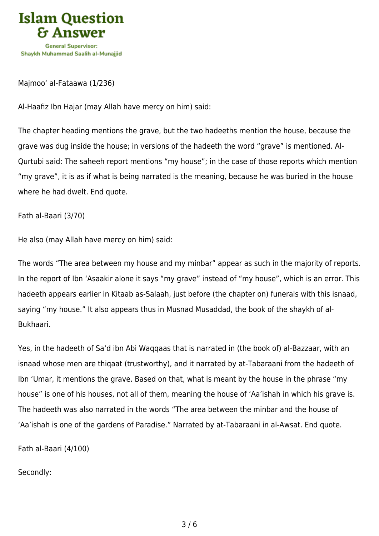

Majmoo' al-Fataawa (1/236)

Al-Haafiz Ibn Hajar (may Allah have mercy on him) said:

The chapter heading mentions the grave, but the two hadeeths mention the house, because the grave was dug inside the house; in versions of the hadeeth the word "grave" is mentioned. Al-Qurtubi said: The saheeh report mentions "my house"; in the case of those reports which mention "my grave", it is as if what is being narrated is the meaning, because he was buried in the house where he had dwelt. End quote.

Fath al-Baari (3/70)

He also (may Allah have mercy on him) said:

The words "The area between my house and my minbar" appear as such in the majority of reports. In the report of Ibn 'Asaakir alone it says "my grave" instead of "my house", which is an error. This hadeeth appears earlier in Kitaab as-Salaah, just before (the chapter on) funerals with this isnaad, saying "my house." It also appears thus in Musnad Musaddad, the book of the shaykh of al-Bukhaari.

Yes, in the hadeeth of Sa'd ibn Abi Waqqaas that is narrated in (the book of) al-Bazzaar, with an isnaad whose men are thiqaat (trustworthy), and it narrated by at-Tabaraani from the hadeeth of Ibn 'Umar, it mentions the grave. Based on that, what is meant by the house in the phrase "my house" is one of his houses, not all of them, meaning the house of 'Aa'ishah in which his grave is. The hadeeth was also narrated in the words "The area between the minbar and the house of 'Aa'ishah is one of the gardens of Paradise." Narrated by at-Tabaraani in al-Awsat. End quote.

Fath al-Baari (4/100)

Secondly: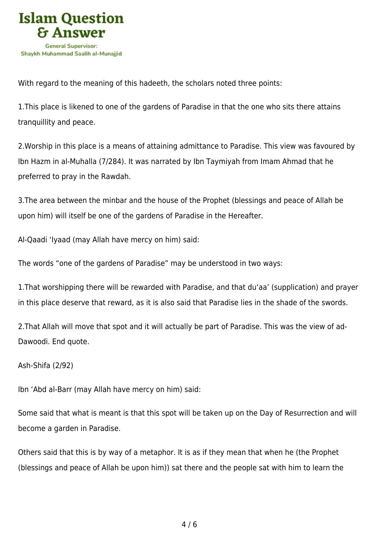

With regard to the meaning of this hadeeth, the scholars noted three points:

1.This place is likened to one of the gardens of Paradise in that the one who sits there attains tranquillity and peace.

2.Worship in this place is a means of attaining admittance to Paradise. This view was favoured by Ibn Hazm in al-Muhalla (7/284). It was narrated by Ibn Taymiyah from Imam Ahmad that he preferred to pray in the Rawdah.

3.The area between the minbar and the house of the Prophet (blessings and peace of Allah be upon him) will itself be one of the gardens of Paradise in the Hereafter.

Al-Qaadi 'Iyaad (may Allah have mercy on him) said:

The words "one of the gardens of Paradise" may be understood in two ways:

1.That worshipping there will be rewarded with Paradise, and that du'aa' (supplication) and prayer in this place deserve that reward, as it is also said that Paradise lies in the shade of the swords.

2.That Allah will move that spot and it will actually be part of Paradise. This was the view of ad-Dawoodi. End quote.

Ash-Shifa (2/92)

Ibn 'Abd al-Barr (may Allah have mercy on him) said:

Some said that what is meant is that this spot will be taken up on the Day of Resurrection and will become a garden in Paradise.

Others said that this is by way of a metaphor. It is as if they mean that when he (the Prophet (blessings and peace of Allah be upon him)) sat there and the people sat with him to learn the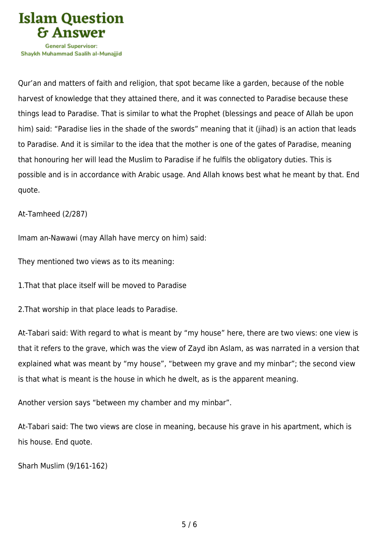

Shavkh Muhammad Saalih al-Munaiiid

Qur'an and matters of faith and religion, that spot became like a garden, because of the noble harvest of knowledge that they attained there, and it was connected to Paradise because these things lead to Paradise. That is similar to what the Prophet (blessings and peace of Allah be upon him) said: "Paradise lies in the shade of the swords" meaning that it (jihad) is an action that leads to Paradise. And it is similar to the idea that the mother is one of the gates of Paradise, meaning that honouring her will lead the Muslim to Paradise if he fulfils the obligatory duties. This is possible and is in accordance with Arabic usage. And Allah knows best what he meant by that. End quote.

At-Tamheed (2/287)

Imam an-Nawawi (may Allah have mercy on him) said:

They mentioned two views as to its meaning:

1.That that place itself will be moved to Paradise

2.That worship in that place leads to Paradise.

At-Tabari said: With regard to what is meant by "my house" here, there are two views: one view is that it refers to the grave, which was the view of Zayd ibn Aslam, as was narrated in a version that explained what was meant by "my house", "between my grave and my minbar"; the second view is that what is meant is the house in which he dwelt, as is the apparent meaning.

Another version says "between my chamber and my minbar".

At-Tabari said: The two views are close in meaning, because his grave in his apartment, which is his house. End quote.

Sharh Muslim (9/161-162)